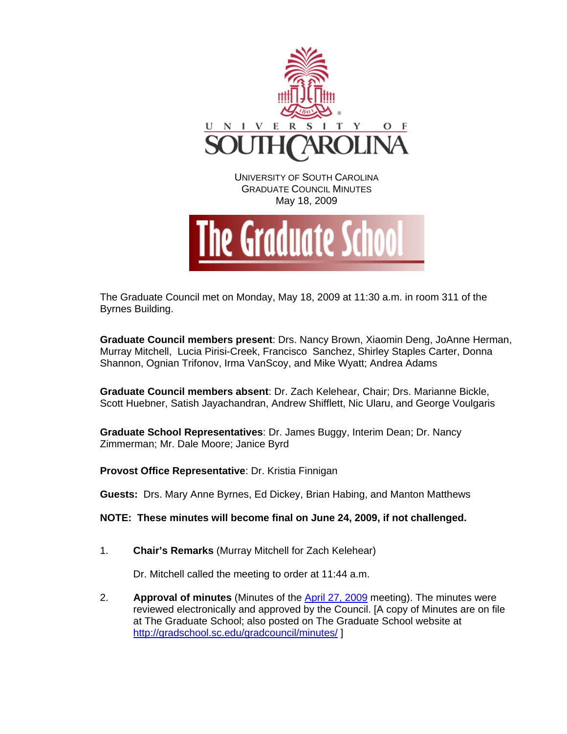

The Graduate Council met on Monday, May 18, 2009 at 11:30 a.m. in room 311 of the Byrnes Building.

**Graduate Council members present**: Drs. Nancy Brown, Xiaomin Deng, JoAnne Herman, Murray Mitchell, Lucia Pirisi-Creek, Francisco Sanchez, Shirley Staples Carter, Donna Shannon, Ognian Trifonov, Irma VanScoy, and Mike Wyatt; Andrea Adams

**Graduate Council members absent**: Dr. Zach Kelehear, Chair; Drs. Marianne Bickle, Scott Huebner, Satish Jayachandran, Andrew Shifflett, Nic Ularu, and George Voulgaris

**Graduate School Representatives**: Dr. James Buggy, Interim Dean; Dr. Nancy Zimmerman; Mr. Dale Moore; Janice Byrd

**Provost Office Representative**: Dr. Kristia Finnigan

**Guests:** Drs. Mary Anne Byrnes, Ed Dickey, Brian Habing, and Manton Matthews

**NOTE: These minutes will become final on June 24, 2009, if not challenged.**

1. **Chair's Remarks** (Murray Mitchell for Zach Kelehear)

Dr. Mitchell called the meeting to order at 11:44 a.m.

2. **Approval of minutes** (Minutes of the [April 27, 2009](http://gradschool.sc.edu/gradcouncil/minutes/GCMinutes%20042709.pdf) meeting). The minutes were reviewed electronically and approved by the Council. [A copy of Minutes are on file at The Graduate School; also posted on The Graduate School website at <http://gradschool.sc.edu/gradcouncil/minutes/>]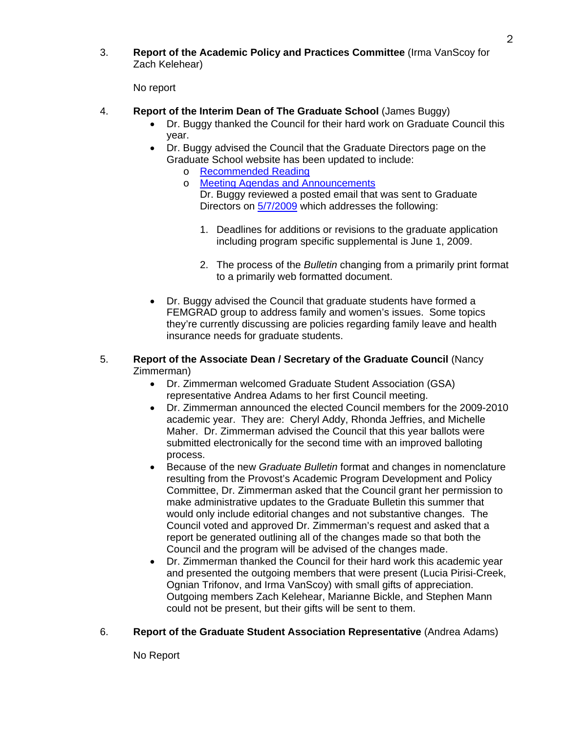3. **Report of the Academic Policy and Practices Committee** (Irma VanScoy for Zach Kelehear)

No report

- 4. **Report of the Interim Dean of The Graduate School** (James Buggy)
	- Dr. Buggy thanked the Council for their hard work on Graduate Council this year.
	- Dr. Buggy advised the Council that the Graduate Directors page on the Graduate School website has been updated to include:
		- o [Recommended Reading](http://www.gradschool.sc.edu/graddir/)
		- o [Meeting Agendas and Announcements](http://www.gradschool.sc.edu/graddir/meetannounce.htm) Dr. Buggy reviewed a posted email that was sent to Graduate Directors on [5/7/2009](http://www.gradschool.sc.edu/graddir/docs/GRADUATEBULLETINANDAPPLICATIONUPDATES.pdf) which addresses the following:
			- 1. Deadlines for additions or revisions to the graduate application including program specific supplemental is June 1, 2009.
			- 2. The process of the *Bulletin* changing from a primarily print format to a primarily web formatted document.
	- Dr. Buggy advised the Council that graduate students have formed a FEMGRAD group to address family and women's issues. Some topics they're currently discussing are policies regarding family leave and health insurance needs for graduate students.
- 5. **Report of the Associate Dean / Secretary of the Graduate Council** (Nancy Zimmerman)
	- Dr. Zimmerman welcomed Graduate Student Association (GSA) representative Andrea Adams to her first Council meeting.
	- Dr. Zimmerman announced the elected Council members for the 2009-2010 academic year. They are: Cheryl Addy, Rhonda Jeffries, and Michelle Maher. Dr. Zimmerman advised the Council that this year ballots were submitted electronically for the second time with an improved balloting process.
	- Because of the new *Graduate Bulletin* format and changes in nomenclature resulting from the Provost's Academic Program Development and Policy Committee, Dr. Zimmerman asked that the Council grant her permission to make administrative updates to the Graduate Bulletin this summer that would only include editorial changes and not substantive changes. The Council voted and approved Dr. Zimmerman's request and asked that a report be generated outlining all of the changes made so that both the Council and the program will be advised of the changes made.
	- Dr. Zimmerman thanked the Council for their hard work this academic year and presented the outgoing members that were present (Lucia Pirisi-Creek, Ognian Trifonov, and Irma VanScoy) with small gifts of appreciation. Outgoing members Zach Kelehear, Marianne Bickle, and Stephen Mann could not be present, but their gifts will be sent to them.

# 6. **Report of the Graduate Student Association Representative** (Andrea Adams)

No Report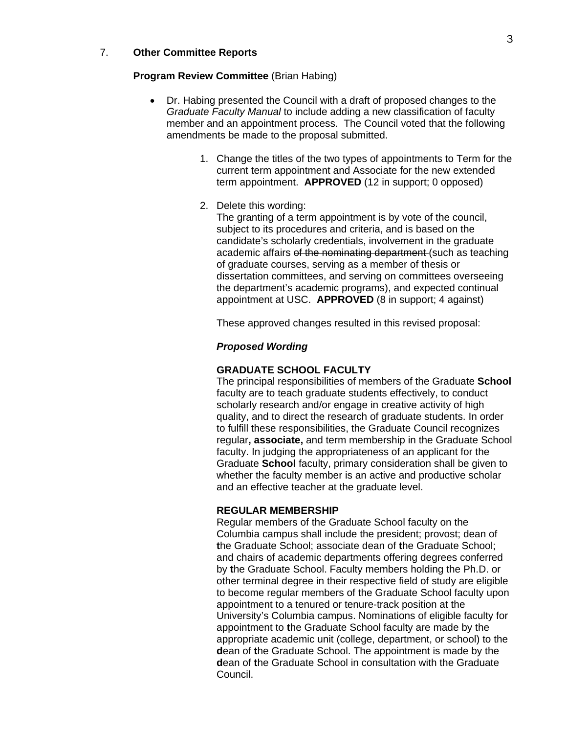### 7. **Other Committee Reports**

### **Program Review Committee** (Brian Habing)

- Dr. Habing presented the Council with a draft of proposed changes to the *Graduate Faculty Manual* to include adding a new classification of faculty member and an appointment process. The Council voted that the following amendments be made to the proposal submitted.
	- 1. Change the titles of the two types of appointments to Term for the current term appointment and Associate for the new extended term appointment. **APPROVED** (12 in support; 0 opposed)
	- 2. Delete this wording:

The granting of a term appointment is by vote of the council, subject to its procedures and criteria, and is based on the candidate's scholarly credentials, involvement in the graduate academic affairs of the nominating department (such as teaching of graduate courses, serving as a member of thesis or dissertation committees, and serving on committees overseeing the department's academic programs), and expected continual appointment at USC. **APPROVED** (8 in support; 4 against)

These approved changes resulted in this revised proposal:

### *Proposed Wording*

### **GRADUATE SCHOOL FACULTY**

The principal responsibilities of members of the Graduate **School**  faculty are to teach graduate students effectively, to conduct scholarly research and/or engage in creative activity of high quality, and to direct the research of graduate students. In order to fulfill these responsibilities, the Graduate Council recognizes regular**, associate,** and term membership in the Graduate School faculty. In judging the appropriateness of an applicant for the Graduate **School** faculty, primary consideration shall be given to whether the faculty member is an active and productive scholar and an effective teacher at the graduate level.

### **REGULAR MEMBERSHIP**

Regular members of the Graduate School faculty on the Columbia campus shall include the president; provost; dean of **t**he Graduate School; associate dean of **t**he Graduate School; and chairs of academic departments offering degrees conferred by **t**he Graduate School. Faculty members holding the Ph.D. or other terminal degree in their respective field of study are eligible to become regular members of the Graduate School faculty upon appointment to a tenured or tenure-track position at the University's Columbia campus. Nominations of eligible faculty for appointment to **t**he Graduate School faculty are made by the appropriate academic unit (college, department, or school) to the **d**ean of **t**he Graduate School. The appointment is made by the **d**ean of **t**he Graduate School in consultation with the Graduate Council.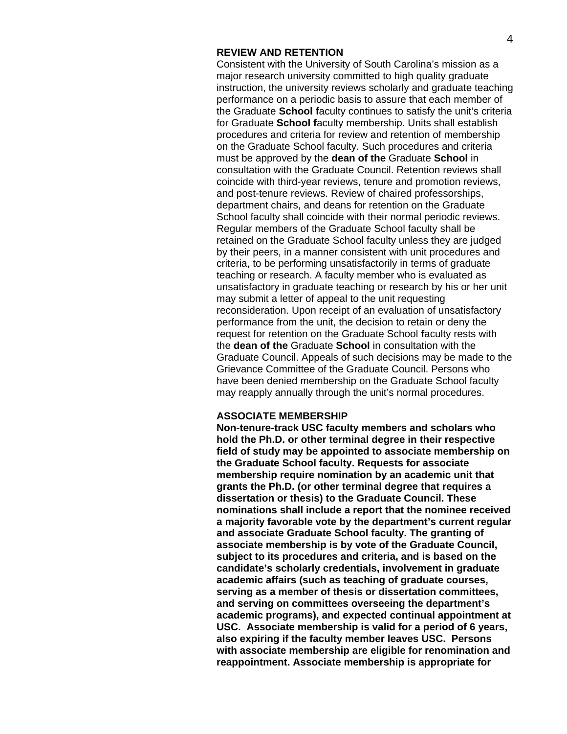### **REVIEW AND RETENTION**

Consistent with the University of South Carolina's mission as a major research university committed to high quality graduate instruction, the university reviews scholarly and graduate teaching performance on a periodic basis to assure that each member of the Graduate **School f**aculty continues to satisfy the unit's criteria for Graduate **School f**aculty membership. Units shall establish procedures and criteria for review and retention of membership on the Graduate School faculty. Such procedures and criteria must be approved by the **dean of the** Graduate **School** in consultation with the Graduate Council. Retention reviews shall coincide with third-year reviews, tenure and promotion reviews, and post-tenure reviews. Review of chaired professorships, department chairs, and deans for retention on the Graduate School faculty shall coincide with their normal periodic reviews. Regular members of the Graduate School faculty shall be retained on the Graduate School faculty unless they are judged by their peers, in a manner consistent with unit procedures and criteria, to be performing unsatisfactorily in terms of graduate teaching or research. A faculty member who is evaluated as unsatisfactory in graduate teaching or research by his or her unit may submit a letter of appeal to the unit requesting reconsideration. Upon receipt of an evaluation of unsatisfactory performance from the unit, the decision to retain or deny the request for retention on the Graduate School **f**aculty rests with the **dean of the** Graduate **School** in consultation with the Graduate Council. Appeals of such decisions may be made to the Grievance Committee of the Graduate Council. Persons who have been denied membership on the Graduate School faculty may reapply annually through the unit's normal procedures.

### **ASSOCIATE MEMBERSHIP**

**Non-tenure-track USC faculty members and scholars who hold the Ph.D. or other terminal degree in their respective field of study may be appointed to associate membership on the Graduate School faculty. Requests for associate membership require nomination by an academic unit that grants the Ph.D. (or other terminal degree that requires a dissertation or thesis) to the Graduate Council. These nominations shall include a report that the nominee received a majority favorable vote by the department's current regular and associate Graduate School faculty. The granting of associate membership is by vote of the Graduate Council, subject to its procedures and criteria, and is based on the candidate's scholarly credentials, involvement in graduate academic affairs (such as teaching of graduate courses, serving as a member of thesis or dissertation committees, and serving on committees overseeing the department's academic programs), and expected continual appointment at USC. Associate membership is valid for a period of 6 years, also expiring if the faculty member leaves USC. Persons with associate membership are eligible for renomination and reappointment. Associate membership is appropriate for**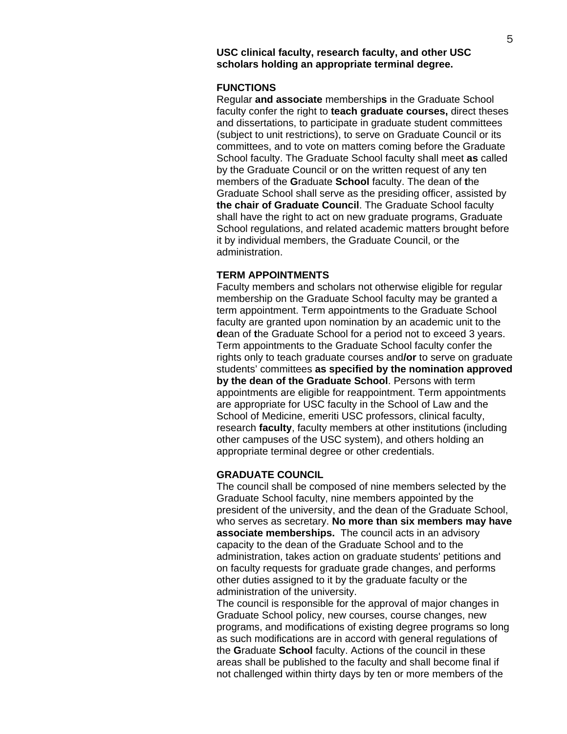# **FUNCTIONS**

Regular **and associate** membership**s** in the Graduate School faculty confer the right to **teach graduate courses,** direct theses and dissertations, to participate in graduate student committees (subject to unit restrictions), to serve on Graduate Council or its committees, and to vote on matters coming before the Graduate School faculty. The Graduate School faculty shall meet **as** called by the Graduate Council or on the written request of any ten members of the **G**raduate **School** faculty. The dean of **t**he Graduate School shall serve as the presiding officer, assisted by **the chair of Graduate Council**. The Graduate School faculty shall have the right to act on new graduate programs, Graduate School regulations, and related academic matters brought before it by individual members, the Graduate Council, or the administration.

# **TERM APPOINTMENTS**

Faculty members and scholars not otherwise eligible for regular membership on the Graduate School faculty may be granted a term appointment. Term appointments to the Graduate School faculty are granted upon nomination by an academic unit to the **d**ean of **t**he Graduate School for a period not to exceed 3 years. Term appointments to the Graduate School faculty confer the rights only to teach graduate courses and**/or** to serve on graduate students' committees **as specified by the nomination approved by the dean of the Graduate School**. Persons with term appointments are eligible for reappointment. Term appointments are appropriate for USC faculty in the School of Law and the School of Medicine, emeriti USC professors, clinical faculty, research **faculty**, faculty members at other institutions (including other campuses of the USC system), and others holding an appropriate terminal degree or other credentials.

### **GRADUATE COUNCIL**

The council shall be composed of nine members selected by the Graduate School faculty, nine members appointed by the president of the university, and the dean of the Graduate School, who serves as secretary. **No more than six members may have associate memberships.** The council acts in an advisory capacity to the dean of the Graduate School and to the administration, takes action on graduate students' petitions and on faculty requests for graduate grade changes, and performs other duties assigned to it by the graduate faculty or the administration of the university.

The council is responsible for the approval of major changes in Graduate School policy, new courses, course changes, new programs, and modifications of existing degree programs so long as such modifications are in accord with general regulations of the **G**raduate **School** faculty. Actions of the council in these areas shall be published to the faculty and shall become final if not challenged within thirty days by ten or more members of the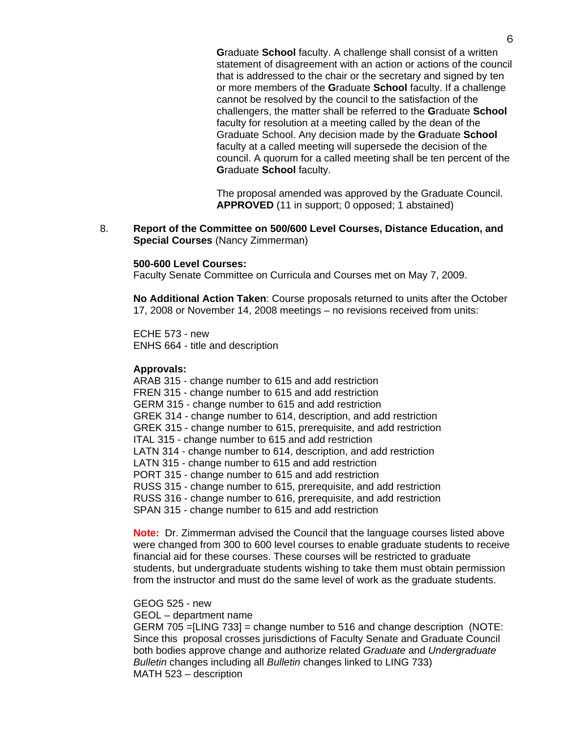**G**raduate **School** faculty. A challenge shall consist of a written statement of disagreement with an action or actions of the council that is addressed to the chair or the secretary and signed by ten or more members of the **G**raduate **School** faculty. If a challenge cannot be resolved by the council to the satisfaction of the challengers, the matter shall be referred to the **G**raduate **School**  faculty for resolution at a meeting called by the dean of the Graduate School. Any decision made by the **G**raduate **School** faculty at a called meeting will supersede the decision of the council. A quorum for a called meeting shall be ten percent of the **G**raduate **School** faculty.

The proposal amended was approved by the Graduate Council. **APPROVED** (11 in support; 0 opposed; 1 abstained)

8. **Report of the Committee on 500/600 Level Courses, Distance Education, and Special Courses** (Nancy Zimmerman)

### **500-600 Level Courses:**

Faculty Senate Committee on Curricula and Courses met on May 7, 2009.

**No Additional Action Taken**: Course proposals returned to units after the October 17, 2008 or November 14, 2008 meetings – no revisions received from units:

ECHE 573 - new ENHS 664 - title and description

### **Approvals:**

ARAB 315 - change number to 615 and add restriction FREN 315 - change number to 615 and add restriction GERM 315 - change number to 615 and add restriction GREK 314 - change number to 614, description, and add restriction GREK 315 - change number to 615, prerequisite, and add restriction ITAL 315 - change number to 615 and add restriction LATN 314 - change number to 614, description, and add restriction LATN 315 - change number to 615 and add restriction PORT 315 - change number to 615 and add restriction RUSS 315 - change number to 615, prerequisite, and add restriction RUSS 316 - change number to 616, prerequisite, and add restriction SPAN 315 - change number to 615 and add restriction

**Note:** Dr. Zimmerman advised the Council that the language courses listed above were changed from 300 to 600 level courses to enable graduate students to receive financial aid for these courses. These courses will be restricted to graduate students, but undergraduate students wishing to take them must obtain permission from the instructor and must do the same level of work as the graduate students.

### GEOG 525 - new

GEOL – department name

GERM 705 =[LING 733] = change number to 516 and change description (NOTE: Since this proposal crosses jurisdictions of Faculty Senate and Graduate Council both bodies approve change and authorize related *Graduate* and *Undergraduate Bulletin* changes including all *Bulletin* changes linked to LING 733) MATH 523 – description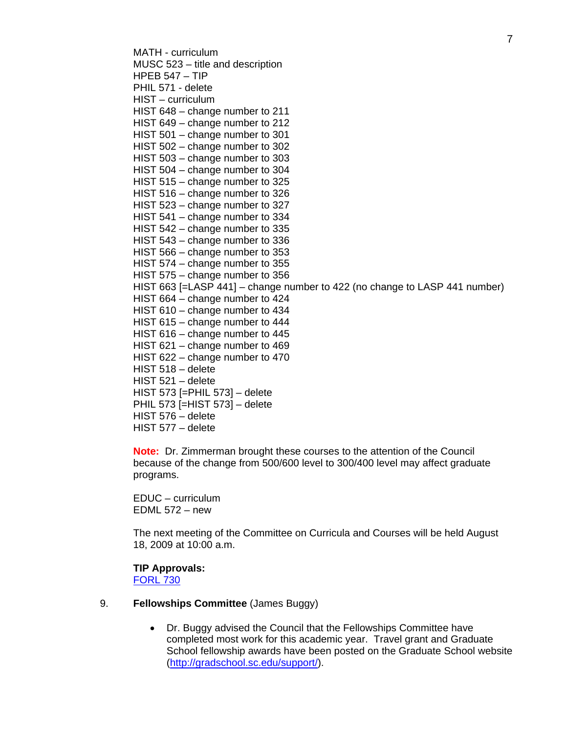MATH - curriculum MUSC 523 – title and description HPEB 547 – TIP PHIL 571 - delete HIST – curriculum HIST 648 – change number to 211 HIST 649 – change number to 212 HIST 501 – change number to 301 HIST 502 – change number to 302 HIST 503 – change number to 303 HIST 504 – change number to 304 HIST 515 – change number to 325 HIST 516 – change number to 326 HIST 523 – change number to 327 HIST 541 – change number to 334 HIST 542 – change number to 335 HIST 543 – change number to 336 HIST 566 – change number to 353 HIST 574 – change number to 355 HIST 575 – change number to 356 HIST 663 [=LASP 441] – change number to 422 (no change to LASP 441 number) HIST 664 – change number to 424 HIST 610 – change number to 434 HIST 615 – change number to 444 HIST 616 – change number to 445 HIST 621 – change number to 469 HIST 622 – change number to 470 HIST 518 – delete HIST 521 – delete HIST 573 [=PHIL 573] – delete PHIL 573 [=HIST 573] – delete HIST 576 – delete HIST 577 – delete

**Note:** Dr. Zimmerman brought these courses to the attention of the Council because of the change from 500/600 level to 300/400 level may affect graduate programs.

EDUC – curriculum EDML 572 – new

The next meeting of the Committee on Curricula and Courses will be held August 18, 2009 at 10:00 a.m.

# **TIP Approvals:**

[FORL 730](http://gradschool.sc.edu/gradcouncil/curricula/TIP%20FORL%20730.pdf)

- 9. **Fellowships Committee** (James Buggy)
	- Dr. Buggy advised the Council that the Fellowships Committee have completed most work for this academic year. Travel grant and Graduate School fellowship awards have been posted on the Graduate School website (<http://gradschool.sc.edu/support/>).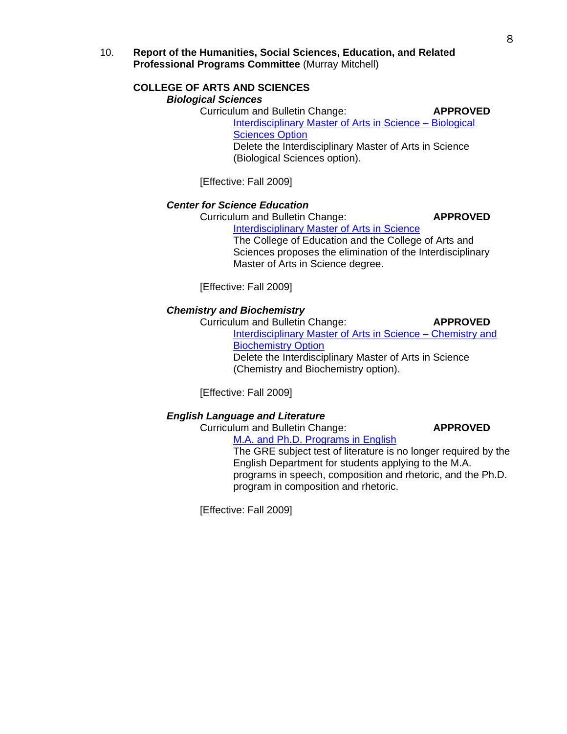10. **Report of the Humanities, Social Sciences, Education, and Related Professional Programs Committee** (Murray Mitchell)

### **COLLEGE OF ARTS AND SCIENCES**   *Biological Sciences*

 Curriculum and Bulletin Change: **APPROVED** [Interdisciplinary Master of Arts in Science – Biological](http://gradschool.sc.edu/gradcouncil/curricula/CBC%20Department%20of%20Biological%20Sciences.pdf)  [Sciences Option](http://gradschool.sc.edu/gradcouncil/curricula/CBC%20Department%20of%20Biological%20Sciences.pdf) Delete the Interdisciplinary Master of Arts in Science (Biological Sciences option).

[Effective: Fall 2009]

# *Center for Science Education*

Curriculum and Bulletin Change: **APPROVED**

[Interdisciplinary Master of Arts in Science](http://gradschool.sc.edu/gradcouncil/curricula/CBC%20IMA%20in%20Science.pdf) 

The College of Education and the College of Arts and Sciences proposes the elimination of the Interdisciplinary Master of Arts in Science degree.

[Effective: Fall 2009]

## *Chemistry and Biochemistry*

Curriculum and Bulletin Change: **APPROVED**

[Interdisciplinary Master of Arts in Science – Chemistry and](http://gradschool.sc.edu/gradcouncil/curricula/CBC%20Department%20of%20Chemistry%20and%20Biochemistry.pdf)  **[Biochemistry Option](http://gradschool.sc.edu/gradcouncil/curricula/CBC%20Department%20of%20Chemistry%20and%20Biochemistry.pdf)** Delete the Interdisciplinary Master of Arts in Science (Chemistry and Biochemistry option).

[Effective: Fall 2009]

### *English Language and Literature*

 Curriculum and Bulletin Change: **APPROVED** [M.A. and Ph.D. Programs in English](http://gradschool.sc.edu/gradcouncil/curricula/CBC%20M.A.%20and%20Ph.D.%20Program%20in%20English.pdf)

The GRE subject test of literature is no longer required by the English Department for students applying to the M.A. programs in speech, composition and rhetoric, and the Ph.D. program in composition and rhetoric.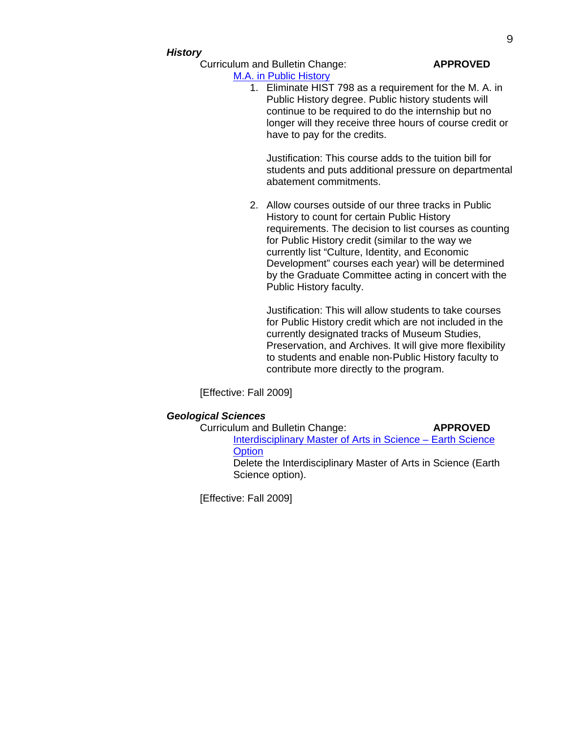### *History*

Curriculum and Bulletin Change: **APPROVED**

## [M.A. in Public History](http://gradschool.sc.edu/gradcouncil/curricula/CBC%20M.A.%20in%20Public%20History.pdf)  1. Eliminate HIST 798 as a requirement for the M. A. in Public History degree. Public history students will continue to be required to do the internship but no longer will they receive three hours of course credit or have to pay for the credits.

Justification: This course adds to the tuition bill for students and puts additional pressure on departmental abatement commitments.

2. Allow courses outside of our three tracks in Public History to count for certain Public History requirements. The decision to list courses as counting for Public History credit (similar to the way we currently list "Culture, Identity, and Economic Development" courses each year) will be determined by the Graduate Committee acting in concert with the Public History faculty.

Justification: This will allow students to take courses for Public History credit which are not included in the currently designated tracks of Museum Studies, Preservation, and Archives. It will give more flexibility to students and enable non‐Public History faculty to contribute more directly to the program.

[Effective: Fall 2009]

# *Geological Sciences*

| Curriculum and Bulletin Change:                                                    | <b>APPROVED</b> |
|------------------------------------------------------------------------------------|-----------------|
| Interdisciplinary Master of Arts in Science – Earth Science                        |                 |
| Option                                                                             |                 |
| Delete the Interdisciplinary Master of Arts in Science (Earth)<br>Science option). |                 |
|                                                                                    |                 |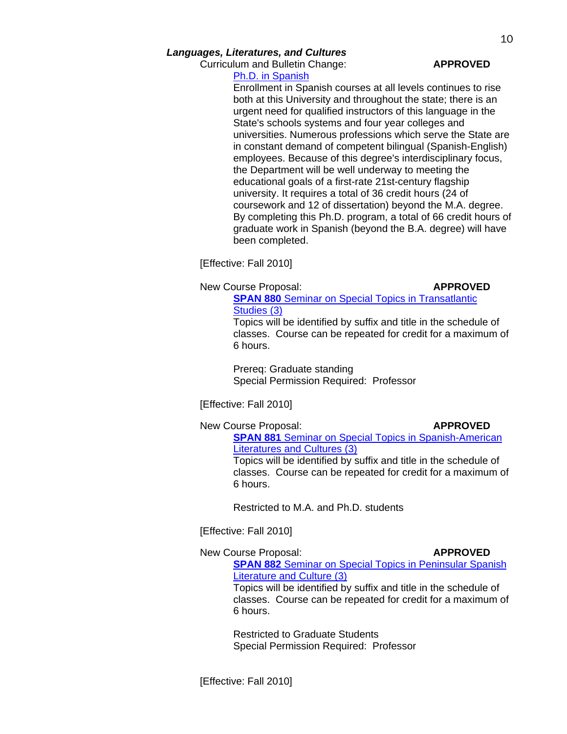Curriculum and Bulletin Change: **APPROVED**

# [Ph.D. in Spanish](http://gradschool.sc.edu/gradcouncil/curricula/CBC%20Ph.D.%20in%20Spanish.pdf)

Enrollment in Spanish courses at all levels continues to rise both at this University and throughout the state; there is an urgent need for qualified instructors of this language in the State's schools systems and four year colleges and universities. Numerous professions which serve the State are in constant demand of competent bilingual (Spanish-English) employees. Because of this degree's interdisciplinary focus, the Department will be well underway to meeting the educational goals of a first-rate 21st-century flagship university. It requires a total of 36 credit hours (24 of coursework and 12 of dissertation) beyond the M.A. degree. By completing this Ph.D. program, a total of 66 credit hours of graduate work in Spanish (beyond the B.A. degree) will have been completed.

[Effective: Fall 2010]

New Course Proposal: **APPROVED** 

**SPAN 880** Seminar on Special Topics in Transatlantic [Studies \(3\)](http://gradschool.sc.edu/gradcouncil/curricula/NCP%20SPAN%20880.pdf)

Topics will be identified by suffix and title in the schedule of classes. Course can be repeated for credit for a maximum of 6 hours.

Prereq: Graduate standing Special Permission Required: Professor

[Effective: Fall 2010]

New Course Proposal: **APPROVED** 

**SPAN 881** [Seminar on Special Topics in Spanish-American](http://gradschool.sc.edu/gradcouncil/curricula/NCP%20SPAN%20881.pdf)  [Literatures and Cultures \(3\)](http://gradschool.sc.edu/gradcouncil/curricula/NCP%20SPAN%20881.pdf)

Topics will be identified by suffix and title in the schedule of classes. Course can be repeated for credit for a maximum of 6 hours.

Restricted to M.A. and Ph.D. students

[Effective: Fall 2010]

New Course Proposal: **APPROVED** 

**SPAN 882** [Seminar on Special Topics in Peninsular Spanish](http://gradschool.sc.edu/gradcouncil/curricula/NCP%20SPAN%20882.pdf)  [Literature and Culture \(3\)](http://gradschool.sc.edu/gradcouncil/curricula/NCP%20SPAN%20882.pdf)

Topics will be identified by suffix and title in the schedule of classes. Course can be repeated for credit for a maximum of 6 hours.

Restricted to Graduate Students Special Permission Required: Professor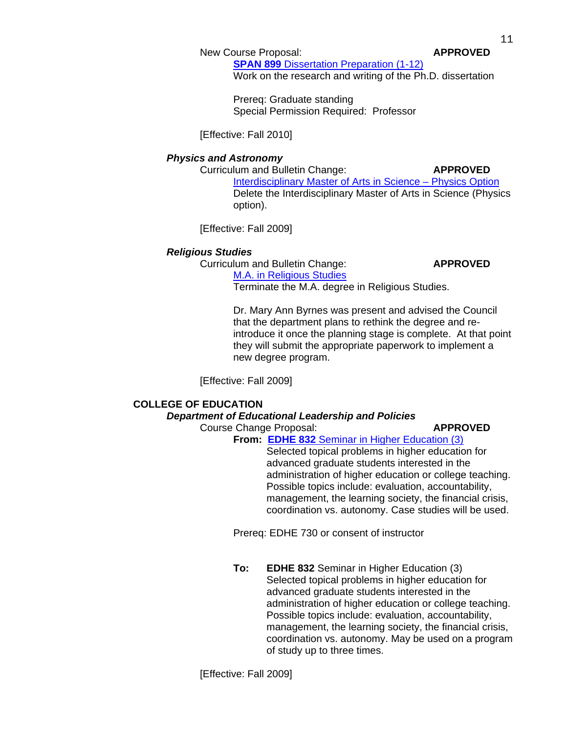### New Course Proposal: **APPROVED**

**SPAN 899** [Dissertation Preparation](http://gradschool.sc.edu/gradcouncil/curricula/NCP%20SPAN%20899.pdf) (1-12)

Work on the research and writing of the Ph.D. dissertation

Prereq: Graduate standing Special Permission Required: Professor

[Effective: Fall 2010]

### *Physics and Astronomy*

Curriculum and Bulletin Change: **APPROVED**

[Interdisciplinary Master of Arts in Science – Physics Option](http://gradschool.sc.edu/gradcouncil/curricula/CBC%20Department%20of%20Physics%20and%20Astronomy.pdf) Delete the Interdisciplinary Master of Arts in Science (Physics option).

[Effective: Fall 2009]

### *Religious Studies*

Curriculum and Bulletin Change: **APPROVED**

[M.A. in Religious Studies](http://gradschool.sc.edu/gradcouncil/curricula/CBC%20MA%20Religious%20Studies.pdf) Terminate the M.A. degree in Religious Studies.

Dr. Mary Ann Byrnes was present and advised the Council that the department plans to rethink the degree and reintroduce it once the planning stage is complete. At that point they will submit the appropriate paperwork to implement a new degree program.

[Effective: Fall 2009]

# **COLLEGE OF EDUCATION**

### *Department of Educational Leadership and Policies*

Course Change Proposal: **APPROVED**

# **From: EDHE 832** [Seminar in Higher Education \(3\)](http://gradschool.sc.edu/gradcouncil/curricula/CCP%20EDHE%20832.pdf)

Selected topical problems in higher education for advanced graduate students interested in the administration of higher education or college teaching. Possible topics include: evaluation, accountability, management, the learning society, the financial crisis, coordination vs. autonomy. Case studies will be used.

Prereq: EDHE 730 or consent of instructor

**To: EDHE 832** Seminar in Higher Education (3) Selected topical problems in higher education for advanced graduate students interested in the administration of higher education or college teaching. Possible topics include: evaluation, accountability, management, the learning society, the financial crisis, coordination vs. autonomy. May be used on a program of study up to three times.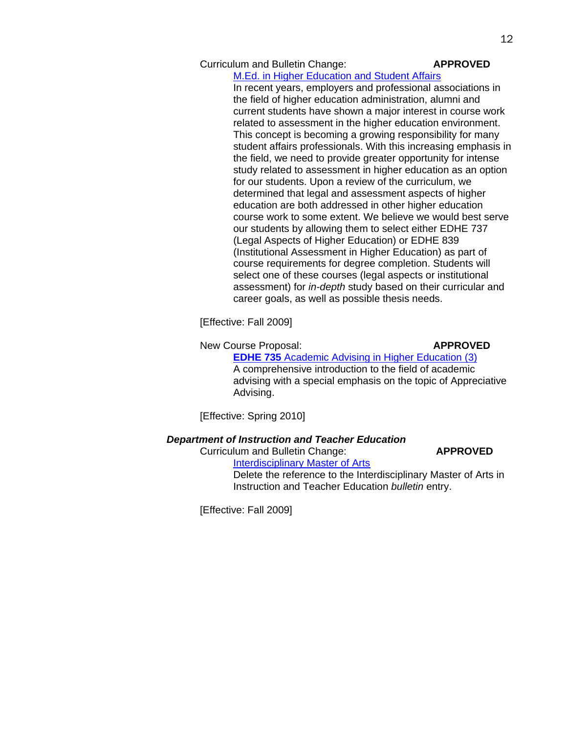### Curriculum and Bulletin Change: **APPROVED**

### [M.Ed. in Higher Education and Student Affairs](http://gradschool.sc.edu/gradcouncil/curricula/CBC%20EDLP%20Higher%20Education%20&%20Student%20Affairs.pdf)

In recent years, employers and professional associations in the field of higher education administration, alumni and current students have shown a major interest in course work related to assessment in the higher education environment. This concept is becoming a growing responsibility for many student affairs professionals. With this increasing emphasis in the field, we need to provide greater opportunity for intense study related to assessment in higher education as an option for our students. Upon a review of the curriculum, we determined that legal and assessment aspects of higher education are both addressed in other higher education course work to some extent. We believe we would best serve our students by allowing them to select either EDHE 737 (Legal Aspects of Higher Education) or EDHE 839 (Institutional Assessment in Higher Education) as part of course requirements for degree completion. Students will select one of these courses (legal aspects or institutional assessment) for *in-depth* study based on their curricular and career goals, as well as possible thesis needs.

[Effective: Fall 2009]

### New Course Proposal: **APPROVED**

**EDHE 735** [Academic Advising in Higher Education](http://gradschool.sc.edu/gradcouncil/curricula/NCP%20EDHE%20735.pdf) (3) A comprehensive introduction to the field of academic advising with a special emphasis on the topic of Appreciative Advising.

[Effective: Spring 2010]

## *Department of Instruction and Teacher Education*

Curriculum and Bulletin Change: **APPROVED**

[Interdisciplinary Master of Arts](http://gradschool.sc.edu/gradcouncil/curricula/CBC%20Instruction%20and%20Teacher%20Education.pdf)

Delete the reference to the Interdisciplinary Master of Arts in Instruction and Teacher Education *bulletin* entry.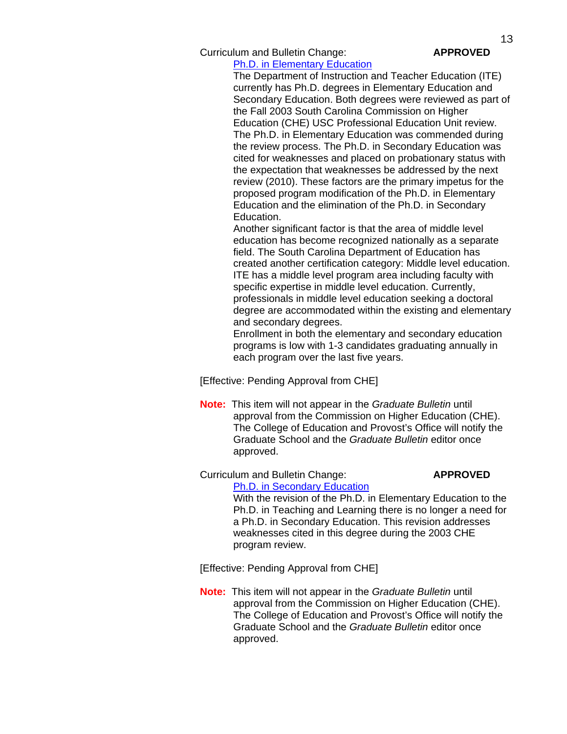Curriculum and Bulletin Change: **APPROVED**

[Ph.D. in Elementary Education](http://gradschool.sc.edu/gradcouncil/curricula/CBC%20PhD%20in%20Elementary%20Education.pdf)

The Department of Instruction and Teacher Education (ITE) currently has Ph.D. degrees in Elementary Education and Secondary Education. Both degrees were reviewed as part of the Fall 2003 South Carolina Commission on Higher Education (CHE) USC Professional Education Unit review. The Ph.D. in Elementary Education was commended during the review process. The Ph.D. in Secondary Education was cited for weaknesses and placed on probationary status with the expectation that weaknesses be addressed by the next review (2010). These factors are the primary impetus for the proposed program modification of the Ph.D. in Elementary Education and the elimination of the Ph.D. in Secondary Education.

Another significant factor is that the area of middle level education has become recognized nationally as a separate field. The South Carolina Department of Education has created another certification category: Middle level education. ITE has a middle level program area including faculty with specific expertise in middle level education. Currently, professionals in middle level education seeking a doctoral degree are accommodated within the existing and elementary and secondary degrees.

Enrollment in both the elementary and secondary education programs is low with 1-3 candidates graduating annually in each program over the last five years.

[Effective: Pending Approval from CHE]

 **Note:** This item will not appear in the *Graduate Bulletin* until approval from the Commission on Higher Education (CHE). The College of Education and Provost's Office will notify the Graduate School and the *Graduate Bulletin* editor once approved.

Curriculum and Bulletin Change: **APPROVED**

[Ph.D. in Secondary Education](http://gradschool.sc.edu/gradcouncil/curricula/CBC%20PhD%20in%20Secondary%20Education.pdf) With the revision of the Ph.D. in Elementary Education to the Ph.D. in Teaching and Learning there is no longer a need for a Ph.D. in Secondary Education. This revision addresses weaknesses cited in this degree during the 2003 CHE program review.

[Effective: Pending Approval from CHE]

 **Note:** This item will not appear in the *Graduate Bulletin* until approval from the Commission on Higher Education (CHE). The College of Education and Provost's Office will notify the Graduate School and the *Graduate Bulletin* editor once approved.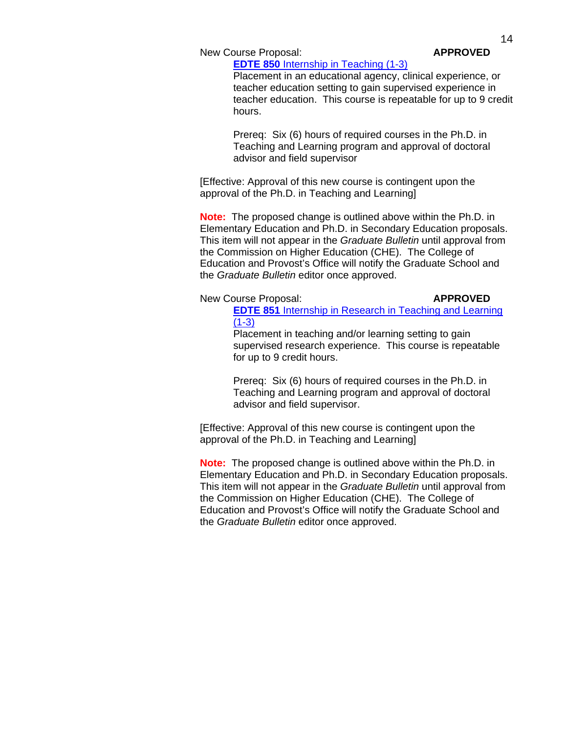New Course Proposal: **APPROVED** 

# **EDTE 850** [Internship in Teaching](http://gradschool.sc.edu/gradcouncil/curricula/NCP%20EDTE%20850.pdf) (1-3)

Placement in an educational agency, clinical experience, or teacher education setting to gain supervised experience in teacher education. This course is repeatable for up to 9 credit hours.

Prereq: Six (6) hours of required courses in the Ph.D. in Teaching and Learning program and approval of doctoral advisor and field supervisor

[Effective: Approval of this new course is contingent upon the approval of the Ph.D. in Teaching and Learning]

**Note:** The proposed change is outlined above within the Ph.D. in Elementary Education and Ph.D. in Secondary Education proposals. This item will not appear in the *Graduate Bulletin* until approval from the Commission on Higher Education (CHE). The College of Education and Provost's Office will notify the Graduate School and the *Graduate Bulletin* editor once approved.

### New Course Proposal: **APPROVED**

**EDTE 851** [Internship in Research in Teaching and Learning](http://gradschool.sc.edu/gradcouncil/curricula/NCP%20EDTE%20851.pdf)  $(1-3)$ 

Placement in teaching and/or learning setting to gain supervised research experience. This course is repeatable for up to 9 credit hours.

Prereq: Six (6) hours of required courses in the Ph.D. in Teaching and Learning program and approval of doctoral advisor and field supervisor.

[Effective: Approval of this new course is contingent upon the approval of the Ph.D. in Teaching and Learning]

**Note:** The proposed change is outlined above within the Ph.D. in Elementary Education and Ph.D. in Secondary Education proposals. This item will not appear in the *Graduate Bulletin* until approval from the Commission on Higher Education (CHE). The College of Education and Provost's Office will notify the Graduate School and the *Graduate Bulletin* editor once approved.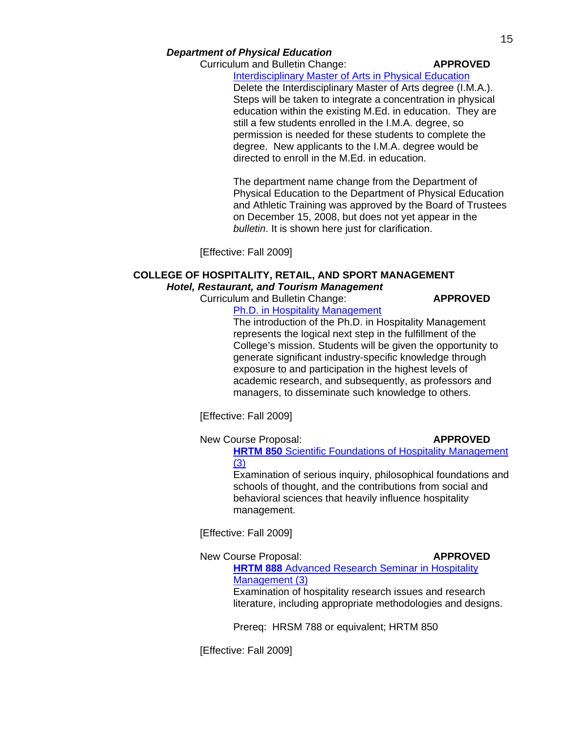## *Department of Physical Education*

Curriculum and Bulletin Change: **APPROVED**

**[Interdisciplinary Master of Arts in Physical Education](http://gradschool.sc.edu/gradcouncil/curricula/CBC%20Physical%20Education%202.pdf)** 

Delete the Interdisciplinary Master of Arts degree (I.M.A.). Steps will be taken to integrate a concentration in physical education within the existing M.Ed. in education. They are still a few students enrolled in the I.M.A. degree, so permission is needed for these students to complete the degree. New applicants to the I.M.A. degree would be directed to enroll in the M.Ed. in education.

The department name change from the Department of Physical Education to the Department of Physical Education and Athletic Training was approved by the Board of Trustees on December 15, 2008, but does not yet appear in the *bulletin*. It is shown here just for clarification.

[Effective: Fall 2009]

# **COLLEGE OF HOSPITALITY, RETAIL, AND SPORT MANAGEMENT**  *Hotel, Restaurant, and Tourism Management*

**Curriculum and Bulletin Change: <b>APPROVED** 

[Ph.D. in Hospitality Management](http://gradschool.sc.edu/gradcouncil/curricula/CBC%20Ph.D.%20in%20Hospitality%20Managment.pdf)

The introduction of the Ph.D. in Hospitality Management represents the logical next step in the fulfillment of the College's mission. Students will be given the opportunity to generate significant industry-specific knowledge through exposure to and participation in the highest levels of academic research, and subsequently, as professors and managers, to disseminate such knowledge to others.

[Effective: Fall 2009]

New Course Proposal: **APPROVED** 

**HRTM 850** Scientific Foundations of Hospitality Management [\(3\)](http://gradschool.sc.edu/gradcouncil/curricula/NCP%20HRTM%20850.pdf)

Examination of serious inquiry, philosophical foundations and schools of thought, and the contributions from social and behavioral sciences that heavily influence hospitality management.

[Effective: Fall 2009]

New Course Proposal: **APPROVED HRTM 888** [Advanced Research Seminar in Hospitality](http://gradschool.sc.edu/gradcouncil/curricula/NCP%20HRTM%20888.pdf)  [Management \(3\)](http://gradschool.sc.edu/gradcouncil/curricula/NCP%20HRTM%20888.pdf) Examination of hospitality research issues and research literature, including appropriate methodologies and designs.

Prereq: HRSM 788 or equivalent; HRTM 850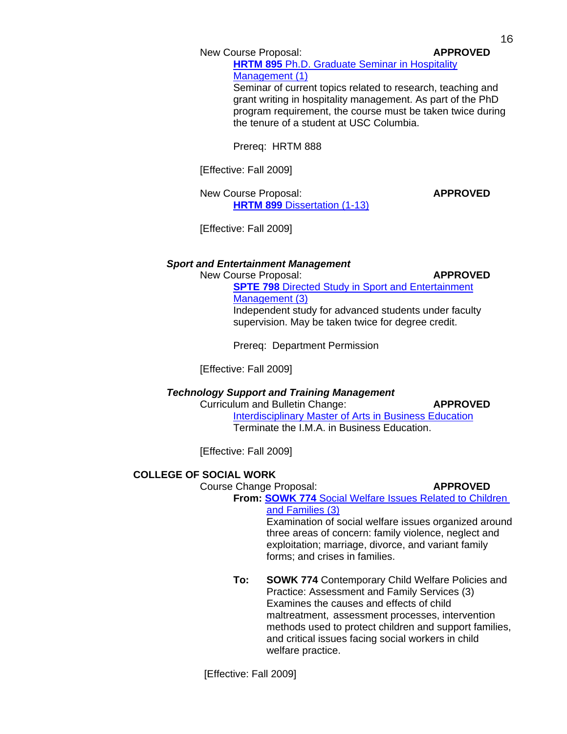New Course Proposal: **APPROVED** 

**HRTM 895** [Ph.D. Graduate Seminar in Hospitality](http://gradschool.sc.edu/gradcouncil/curricula/NCP%20HRTM%20895.pdf)  [Management \(1\)](http://gradschool.sc.edu/gradcouncil/curricula/NCP%20HRTM%20895.pdf) Seminar of current topics related to research, teaching and

grant writing in hospitality management. As part of the PhD program requirement, the course must be taken twice during the tenure of a student at USC Columbia.

Prereq: HRTM 888

[Effective: Fall 2009]

New Course Proposal: **APPROVED HRTM 899** [Dissertation \(1-13\)](http://gradschool.sc.edu/gradcouncil/curricula/NCP%20HRTM%20899.pdf)

[Effective: Fall 2009]

# *Sport and Entertainment Management*

**New Course Proposal: APPROVED** 

**SPTE 798** [Directed Study in Sport and Entertainment](http://gradschool.sc.edu/gradcouncil/curricula/NCP%20SPTE%20798.pdf)  [Management](http://gradschool.sc.edu/gradcouncil/curricula/NCP%20SPTE%20798.pdf) (3) Independent study for advanced students under faculty supervision. May be taken twice for degree credit.

Prereq: Department Permission

[Effective: Fall 2009]

# *Technology Support and Training Management*

**Curriculum and Bulletin Change: <b>APPROVED** 

[Interdisciplinary Master of Arts in Business Education](http://gradschool.sc.edu/gradcouncil/curricula/CBC%20IMA%20in%20Business%20Education.pdf) Terminate the I.M.A. in Business Education.

[Effective: Fall 2009]

# **COLLEGE OF SOCIAL WORK**

Course Change Proposal: **APPROVED**

**From: SOWK 774** [Social Welfare Issues Related to Children](http://gradschool.sc.edu/gradcouncil/curricula/CCP%20SOWK%20774.pdf)  [and Families \(3\)](http://gradschool.sc.edu/gradcouncil/curricula/CCP%20SOWK%20774.pdf)

Examination of social welfare issues organized around three areas of concern: family violence, neglect and exploitation; marriage, divorce, and variant family forms; and crises in families.

**To: SOWK 774** Contemporary Child Welfare Policies and Practice: Assessment and Family Services (3) Examines the causes and effects of child maltreatment, assessment processes, intervention methods used to protect children and support families, and critical issues facing social workers in child welfare practice.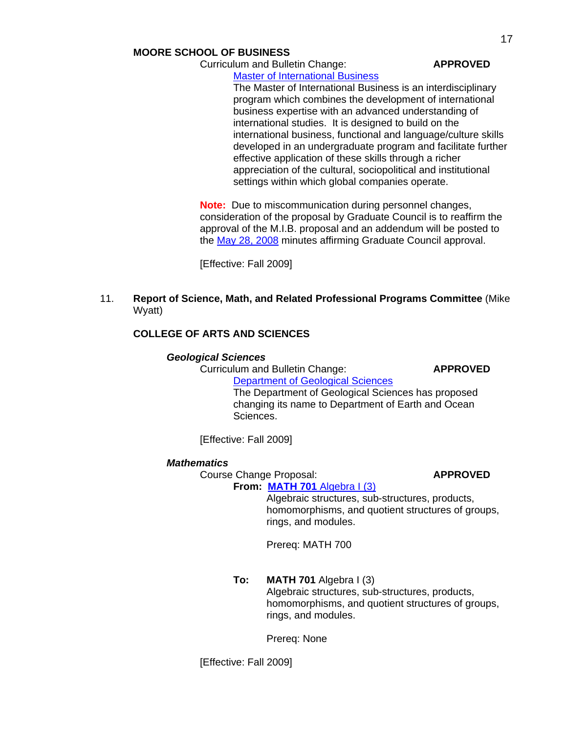## **MOORE SCHOOL OF BUSINESS**

Curriculum and Bulletin Change: **APPROVED**

[Master of International Business](http://gradschool.sc.edu/gradcouncil/curricula/CBC%20Master%20in%20International%20Business.pdf)

The Master of International Business is an interdisciplinary program which combines the development of international business expertise with an advanced understanding of international studies. It is designed to build on the international business, functional and language/culture skills developed in an undergraduate program and facilitate further effective application of these skills through a richer appreciation of the cultural, sociopolitical and institutional settings within which global companies operate.

**Note:** Due to miscommunication during personnel changes, consideration of the proposal by Graduate Council is to reaffirm the approval of the M.I.B. proposal and an addendum will be posted to the [May 28, 2008](http://gradschool.sc.edu/gradcouncil/minutes/GCMinutes080528.pdf) minutes affirming Graduate Council approval.

[Effective: Fall 2009]

# 11. **Report of Science, Math, and Related Professional Programs Committee** (Mike Wyatt)

# **COLLEGE OF ARTS AND SCIENCES**

### *Geological Sciences*

Curriculum and Bulletin Change: **APPROVED**

[Department of Geological Sciences](http://gradschool.sc.edu/gradcouncil/curricula/CBC%20Geological%20Sciences%203.pdf) The Department of Geological Sciences has proposed changing its name to Department of Earth and Ocean Sciences.

[Effective: Fall 2009]

### *Mathematics*

Course Change Proposal: **APPROVED**

### **From: MATH 701** [Algebra I \(3\)](http://gradschool.sc.edu/gradcouncil/curricula/CCP%20MATH%20701.pdf)

Algebraic structures, sub-structures, products, homomorphisms, and quotient structures of groups, rings, and modules.

Prereq: MATH 700

**To: MATH 701** Algebra I (3) Algebraic structures, sub-structures, products, homomorphisms, and quotient structures of groups, rings, and modules.

Prereq: None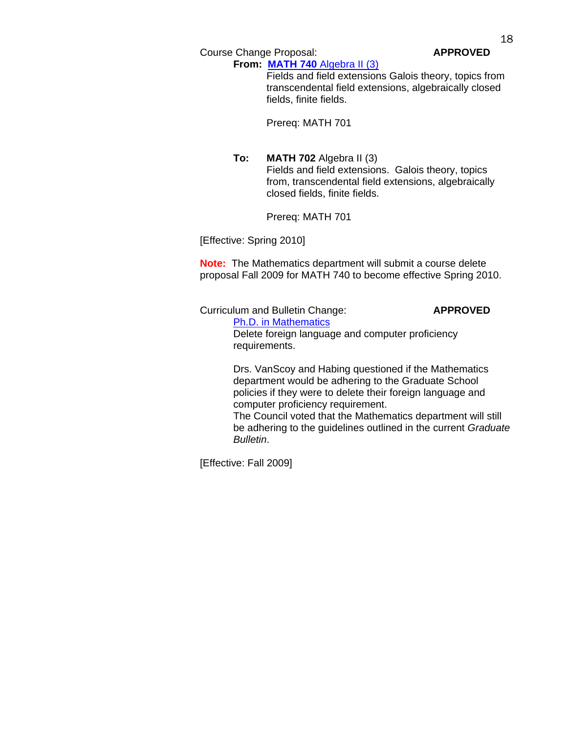Course Change Proposal: **APPROVED**

**From: MATH 740** [Algebra II \(3\)](http://gradschool.sc.edu/gradcouncil/curricula/CCP%20MATH%20740.pdf) Fields and field extensions Galois theory, topics from transcendental field extensions, algebraically closed fields, finite fields.

Prereq: MATH 701

**To: MATH 702** Algebra II (3) Fields and field extensions. Galois theory, topics from, transcendental field extensions, algebraically closed fields, finite fields.

Prereq: MATH 701

[Effective: Spring 2010]

**Note:** The Mathematics department will submit a course delete proposal Fall 2009 for MATH 740 to become effective Spring 2010.

 Curriculum and Bulletin Change: **APPROVED** [Ph.D. in Mathematics](http://gradschool.sc.edu/gradcouncil/curricula/CBC%20PhD%20in%20Mathematics.pdf) Delete foreign language and computer proficiency requirements. Drs. VanScoy and Habing questioned if the Mathematics

 department would be adhering to the Graduate School policies if they were to delete their foreign language and computer proficiency requirement. The Council voted that the Mathematics department will still

 be adhering to the guidelines outlined in the current *Graduate Bulletin*.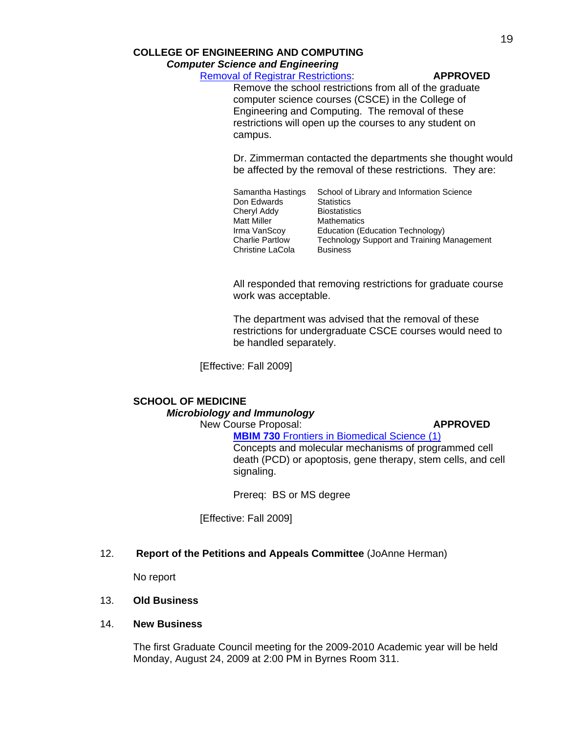*Computer Science and Engineering* 

[Removal of Registrar Restrictions:](http://gradschool.sc.edu/gradcouncil/curricula/Removal%20of%20Registrar%20Restrictions%20-%20CSCE.pdf) **APPROVED**

Remove the school restrictions from all of the graduate computer science courses (CSCE) in the College of Engineering and Computing. The removal of these restrictions will open up the courses to any student on campus.

Dr. Zimmerman contacted the departments she thought would be affected by the removal of these restrictions. They are:

Samantha Hastings School of Library and Information Science Don Edwards **Statistics** Cheryl Addy Biostatistics<br>
Matt Miller Mathematics Matt Miller **Mathematics**<br>
Irma VanScov **Education** (Equ Irma VanScoy Education (Education Technology)<br>Charlie Partlow Technology Support and Training N Technology Support and Training Management Christine LaCola Business

All responded that removing restrictions for graduate course work was acceptable.

The department was advised that the removal of these restrictions for undergraduate CSCE courses would need to be handled separately.

[Effective: Fall 2009]

# **SCHOOL OF MEDICINE**   *Microbiology and Immunology*

**New Course Proposal: APPROVED** 

**MBIM 730 [Frontiers in Biomedical Science](http://gradschool.sc.edu/gradcouncil/curricula/NCP%20MBIM%20730.pdf) (1)** 

Concepts and molecular mechanisms of programmed cell death (PCD) or apoptosis, gene therapy, stem cells, and cell signaling.

Prereq: BS or MS degree

[Effective: Fall 2009]

### 12. **Report of the Petitions and Appeals Committee** (JoAnne Herman)

No report

### 13. **Old Business**

### 14. **New Business**

The first Graduate Council meeting for the 2009-2010 Academic year will be held Monday, August 24, 2009 at 2:00 PM in Byrnes Room 311.